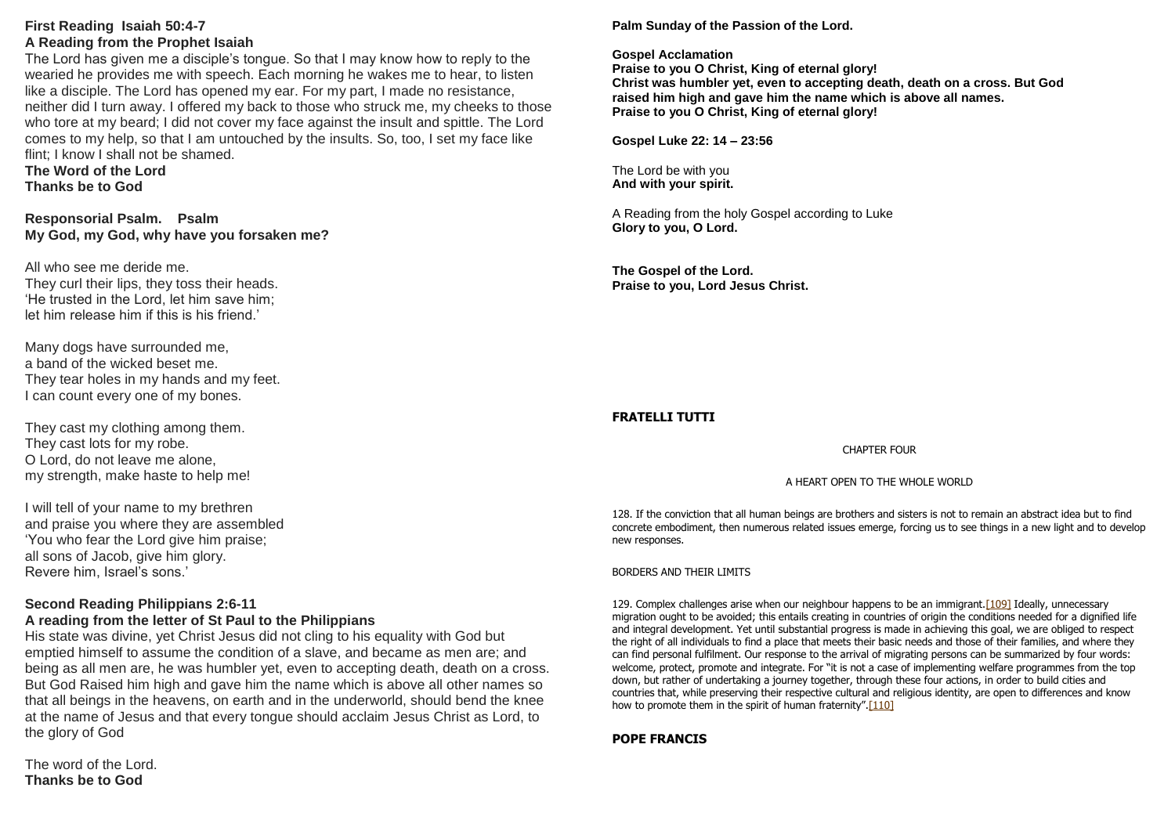## **First Reading Isaiah 50:4-7 A Reading from the Prophet Isaiah**

The Lord has given me a disciple's tongue. So that I may know how to reply to the wearied he provides me with speech. Each morning he wakes me to hear, to listen like a disciple. The Lord has opened my ear. For my part, I made no resistance, neither did I turn away. I offered my back to those who struck me, my cheeks to those who tore at my beard; I did not cover my face against the insult and spittle. The Lord comes to my help, so that I am untouched by the insults. So, too, I set my face like flint; I know I shall not be shamed.

#### **The Word of the Lord Thanks be to God**

**Responsorial Psalm. Psalm My God, my God, why have you forsaken me?**

All who see me deride me. They curl their lips, they toss their heads. 'He trusted in the Lord, let him save him; let him release him if this is his friend.'

Many dogs have surrounded me, a band of the wicked beset me. They tear holes in my hands and my feet. I can count every one of my bones.

They cast my clothing among them. They cast lots for my robe. O Lord, do not leave me alone, my strength, make haste to help me!

I will tell of your name to my brethren and praise you where they are assembled 'You who fear the Lord give him praise; all sons of Jacob, give him glory. Revere him, Israel's sons.'

## **Second Reading Philippians 2:6-11**

## **A reading from the letter of St Paul to the Philippians**

His state was divine, yet Christ Jesus did not cling to his equality with God but emptied himself to assume the condition of a slave, and became as men are; and being as all men are, he was humbler yet, even to accepting death, death on a cross. But God Raised him high and gave him the name which is above all other names so that all beings in the heavens, on earth and in the underworld, should bend the knee at the name of Jesus and that every tongue should acclaim Jesus Christ as Lord, to the glory of God

The word of the Lord. **Thanks be to God**

## **Palm Sunday of the Passion of the Lord.**

#### **Gospel Acclamation**

**Praise to you O Christ, King of eternal glory! Christ was humbler yet, even to accepting death, death on a cross. But God raised him high and gave him the name which is above all names. Praise to you O Christ, King of eternal glory!**

**Gospel Luke 22: 14 – 23:56**

The Lord be with you **And with your spirit.**

A Reading from the holy Gospel according to Luke **Glory to you, O Lord.**

**The Gospel of the Lord. Praise to you, Lord Jesus Christ.**

## **FRATELLI TUTTI**

#### CHAPTER FOUR

#### A HEART OPEN TO THE WHOLE WORLD

128. If the conviction that all human beings are brothers and sisters is not to remain an abstract idea but to find concrete embodiment, then numerous related issues emerge, forcing us to see things in a new light and to develop new responses.

BORDERS AND THEIR LIMITS

129. Complex challenges arise when our neighbour happens to be an immigrant. [109] Ideally, unnecessary migration ought to be avoided; this entails creating in countries of origin the conditions needed for a dignified life and integral development. Yet until substantial progress is made in achieving this goal, we are obliged to respect the right of all individuals to find a place that meets their basic needs and those of their families, and where they can find personal fulfilment. Our response to the arrival of migrating persons can be summarized by four words: welcome, protect, promote and integrate. For "it is not a case of implementing welfare programmes from the top down, but rather of undertaking a journey together, through these four actions, in order to build cities and countries that, while preserving their respective cultural and religious identity, are open to differences and know how to promote them in the spirit of human fraternity".[\[110\]](https://www.vatican.va/content/francesco/en/encyclicals/documents/papa-francesco_20201003_enciclica-fratelli-tutti.html#_ftn110)

#### **POPE FRANCIS**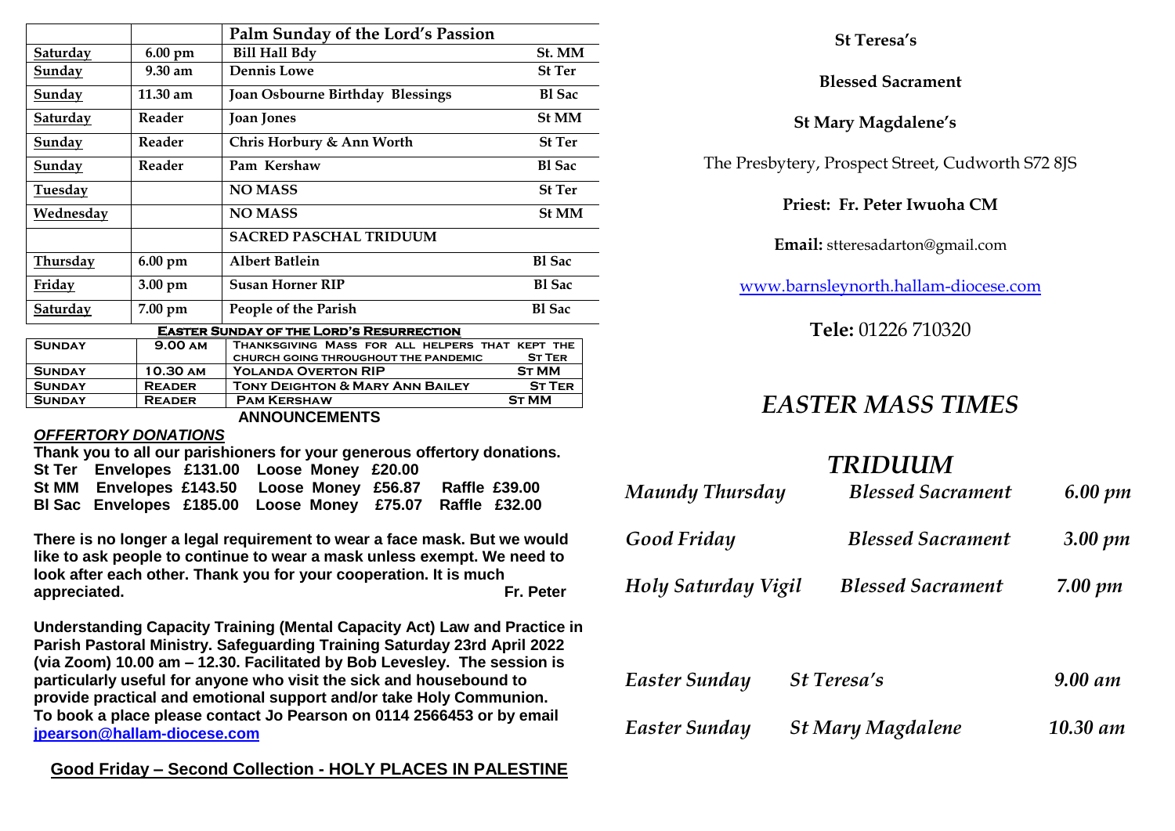|                  |                    | Palm Sunday of the Lord's Passion                                                       |               |  |
|------------------|--------------------|-----------------------------------------------------------------------------------------|---------------|--|
| Saturday         | $6.00 \text{ pm}$  | <b>Bill Hall Bdy</b>                                                                    | St. MM        |  |
| <u>Sunday</u>    | $9.30 \text{ am}$  | <b>Dennis Lowe</b>                                                                      | <b>St Ter</b> |  |
| <u>Sunday</u>    | $11.30 \text{ am}$ | <b>Joan Osbourne Birthday Blessings</b>                                                 | <b>Bl</b> Sac |  |
| <b>Saturday</b>  | Reader             | <b>St MM</b><br><b>Joan Jones</b>                                                       |               |  |
| <u>Sunday</u>    | Reader             | Chris Horbury & Ann Worth                                                               | <b>St Ter</b> |  |
| Sunday           | Reader             | Pam Kershaw                                                                             | <b>Bl</b> Sac |  |
| <u>Tuesday</u>   |                    | <b>NO MASS</b>                                                                          | <b>St Ter</b> |  |
| <u>Wednesday</u> |                    | <b>NO MASS</b>                                                                          | <b>St MM</b>  |  |
|                  |                    | <b>SACRED PASCHAL TRIDUUM</b>                                                           |               |  |
| <b>Thursday</b>  | $6.00 \text{ pm}$  | <b>Albert Batlein</b>                                                                   | <b>Bl</b> Sac |  |
| <u>Friday</u>    | $3.00 \text{ pm}$  | <b>Bl</b> Sac<br><b>Susan Horner RIP</b>                                                |               |  |
| <b>Saturday</b>  | 7.00 pm            | People of the Parish                                                                    | <b>Bl</b> Sac |  |
|                  |                    | <b>EASTER SUNDAY OF THE LORD'S RESURRECTION</b>                                         |               |  |
| <b>SUNDAY</b>    | <b>9.00 AM</b>     | THANKSGIVING MASS FOR ALL HELPERS THAT KEPT THE<br>CHURCH GOING THROUGHOUT THE PANDEMIC | <b>ST TER</b> |  |
| <b>SUNDAY</b>    | 10.30 AM           | <b>YOLANDA OVERTON RIP</b>                                                              | <b>ST MM</b>  |  |
| <b>SUNDAY</b>    | <b>READER</b>      | <b>TONY DEIGHTON &amp; MARY ANN BAILEY</b>                                              | <b>ST TER</b> |  |
| <b>SUNDAY</b>    | <b>READER</b>      | <b>PAM KERSHAW</b>                                                                      | <b>ST MM</b>  |  |

#### *OFFERTORY DONATIONS* **Thank you to all our parishioners for your generous offertory donations.**

|  | <b>THAIR YOU LO AIL OUI DATISHIONERS TOF YOUI GENEROUS OFFERDY QUITALIONS.</b> |  |  |
|--|--------------------------------------------------------------------------------|--|--|
|  | St Ter Envelopes £131.00 Loose Money £20.00                                    |  |  |
|  | St MM Envelopes £143.50 Loose Money £56.87 Raffle £39.00                       |  |  |
|  | BI Sac Envelopes £185.00 Loose Money £75.07 Raffle £32.00                      |  |  |

**ANNOUNCEMENTS**

**There is no longer a legal requirement to wear a face mask. But we would like to ask people to continue to wear a mask unless exempt. We need to look after each other. Thank you for your cooperation. It is much appreciated. Fr. Peter**

**Understanding Capacity Training (Mental Capacity Act) Law and Practice in Parish Pastoral Ministry. Safeguarding Training Saturday 23rd April 2022 (via Zoom) 10.00 am – 12.30. Facilitated by Bob Levesley. The session is particularly useful for anyone who visit the sick and housebound to provide practical and emotional support and/or take Holy Communion. To book a place please contact Jo Pearson on 0114 2566453 or by email [jpearson@hallam-diocese.com](mailto:jpearson@hallam-diocese.com)**

## **Good Friday – Second Collection - HOLY PLACES IN PALESTINE**

## **St Teresa's**

**Blessed Sacrament**

## **St Mary Magdalene's**

The Presbytery, Prospect Street, Cudworth S72 8JS

**Priest: Fr. Peter Iwuoha CM**

**Email:** stteresadarton@gmail.com

[www.barnsleynorth.hallam-diocese.com](http://www.barnsleynorth.hallam-diocese.com/)

**Tele:** 01226 710320

# *EASTER MASS TIMES*

# *TRIDUUM*

| Maundy Thursday     |                          | <b>Blessed Sacrament</b> | 6.00 pm     |  |
|---------------------|--------------------------|--------------------------|-------------|--|
| Good Friday         |                          | <b>Blessed Sacrament</b> | $3.00 \;pm$ |  |
| Holy Saturday Vigil |                          | <b>Blessed Sacrament</b> | $7.00 \;pm$ |  |
|                     |                          |                          |             |  |
| Easter Sunday       | <b>St Teresa's</b>       |                          | 9.00 am     |  |
| Easter Sunday       | <b>St Mary Magdalene</b> |                          |             |  |